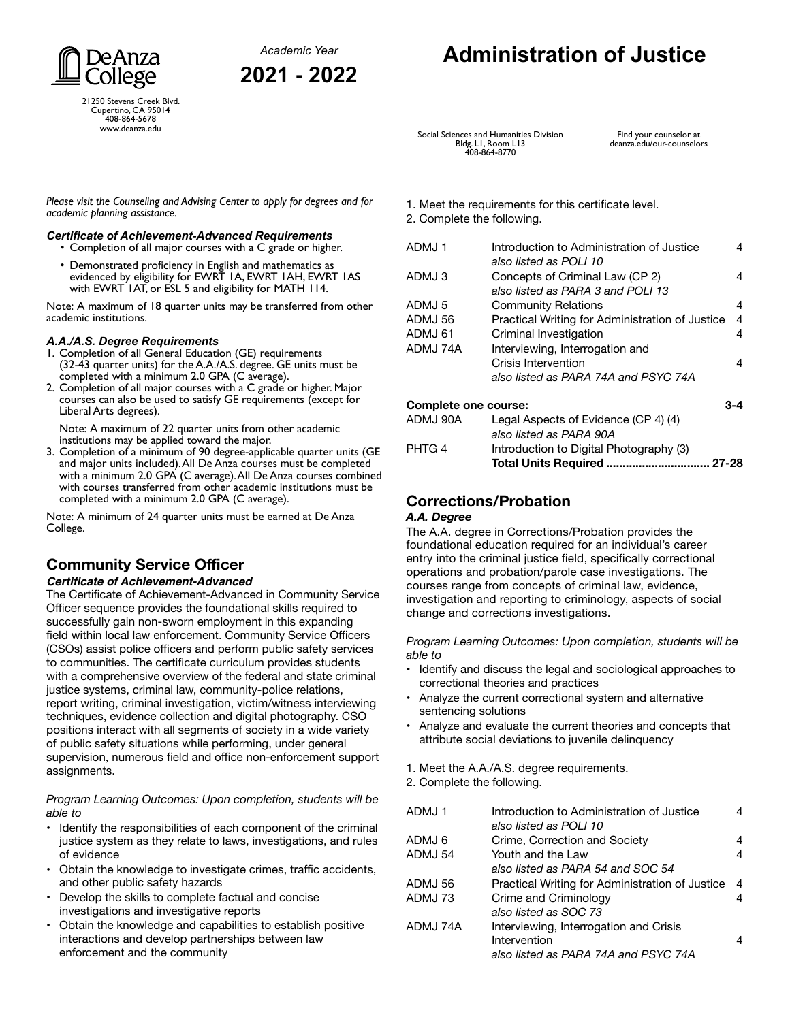

**2021 - 2022**



21250 Stevens Creek Blvd. Cupertino, CA 95014 408-864-5678 www.deanza.edu

# **Administration of Justice**

Social Sciences and Humanities Division Bldg. L1, Room L13 408-864-8770

Find your counselor at deanza.edu/our-counselors

*Please visit the Counseling and Advising Center to apply for degrees and for academic planning assistance.*

#### *Certificate of Achievement-Advanced Requirements*

• Completion of all major courses with a C grade or higher. • Demonstrated proficiency in English and mathematics as

evidenced by eligibility for EWRT 1A, EWRT 1AH, EWRT 1AS with EWRT 1AT, or ESL 5 and eligibility for MATH 114.

Note: A maximum of 18 quarter units may be transferred from other academic institutions.

## *A.A./A.S. Degree Requirements*

- Completion of all General Education (GE) requirements (32-43 quarter units) for the A.A./A.S. degree. GE units must be completed with a minimum 2.0 GPA (C average).
- 2. Completion of all major courses with a C grade or higher. Major courses can also be used to satisfy GE requirements (except for Liberal Arts degrees).

Note: A maximum of 22 quarter units from other academic institutions may be applied toward the major.

3. Completion of a minimum of 90 degree-applicable quarter units (GE and major units included). All De Anza courses must be completed with a minimum 2.0 GPA (C average). All De Anza courses combined with courses transferred from other academic institutions must be completed with a minimum 2.0 GPA (C average).

Note: A minimum of 24 quarter units must be earned at De Anza College.

## **Community Service Officer**

#### **Certificate of Achievement-Advanced**

The Certificate of Achievement-Advanced in Community Service Officer sequence provides the foundational skills required to successfully gain non-sworn employment in this expanding field within local law enforcement. Community Service Officers (CSOs) assist police officers and perform public safety services to communities. The certificate curriculum provides students with a comprehensive overview of the federal and state criminal justice systems, criminal law, community-police relations, report writing, criminal investigation, victim/witness interviewing techniques, evidence collection and digital photography. CSO positions interact with all segments of society in a wide variety of public safety situations while performing, under general supervision, numerous field and office non-enforcement support assignments.

*Program Learning Outcomes: Upon completion, students will be able to*

- Identify the responsibilities of each component of the criminal justice system as they relate to laws, investigations, and rules of evidence
- Obtain the knowledge to investigate crimes, traffic accidents, and other public safety hazards
- Develop the skills to complete factual and concise investigations and investigative reports
- Obtain the knowledge and capabilities to establish positive interactions and develop partnerships between law enforcement and the community

#### 1. Meet the requirements for this certificate level.

2. Complete the following.

| ADMJ 1               | Introduction to Administration of Justice<br>also listed as POLI 10  |     |
|----------------------|----------------------------------------------------------------------|-----|
| ADMJ3                | Concepts of Criminal Law (CP 2)<br>also listed as PARA 3 and POLI 13 | 4   |
| ADMJ 5               | <b>Community Relations</b>                                           | 4   |
| ADMJ 56              | Practical Writing for Administration of Justice                      | 4   |
| ADMJ 61              | Criminal Investigation                                               | 4   |
| ADMJ 74A             | Interviewing, Interrogation and                                      |     |
|                      | Crisis Intervention                                                  | 4   |
|                      | also listed as PARA 74A and PSYC 74A                                 |     |
| Complete one course: |                                                                      | 3-4 |
| ADMJ 90A             | Legal Aspects of Evidence (CP 4) (4)<br>also listed as PARA 90A      |     |
|                      |                                                                      |     |

## PHTG 4 Introduction to Digital Photography (3) **Total Units Required ................................ 27-28**

#### **Corrections/Probation** *A.A. Degree*

The A.A. degree in Corrections/Probation provides the foundational education required for an individual's career entry into the criminal justice field, specifically correctional operations and probation/parole case investigations. The courses range from concepts of criminal law, evidence, investigation and reporting to criminology, aspects of social change and corrections investigations.

*Program Learning Outcomes: Upon completion, students will be able to*

- Identify and discuss the legal and sociological approaches to correctional theories and practices
- Analyze the current correctional system and alternative sentencing solutions
- Analyze and evaluate the current theories and concepts that attribute social deviations to juvenile delinquency

1. Meet the A.A./A.S. degree requirements.

2. Complete the following.

| ADMJ 1   | Introduction to Administration of Justice<br>also listed as POLI 10 |   |
|----------|---------------------------------------------------------------------|---|
|          |                                                                     |   |
| ADMJ 6   | Crime, Correction and Society                                       |   |
| ADMJ 54  | Youth and the Law                                                   | 4 |
|          | also listed as PARA 54 and SOC 54                                   |   |
| ADMJ 56  | Practical Writing for Administration of Justice                     | 4 |
| ADMJ 73  | Crime and Criminology                                               |   |
|          | also listed as SOC 73                                               |   |
| ADMJ 74A | Interviewing, Interrogation and Crisis                              |   |
|          | Intervention                                                        |   |
|          | also listed as PARA 74A and PSYC 74A                                |   |
|          |                                                                     |   |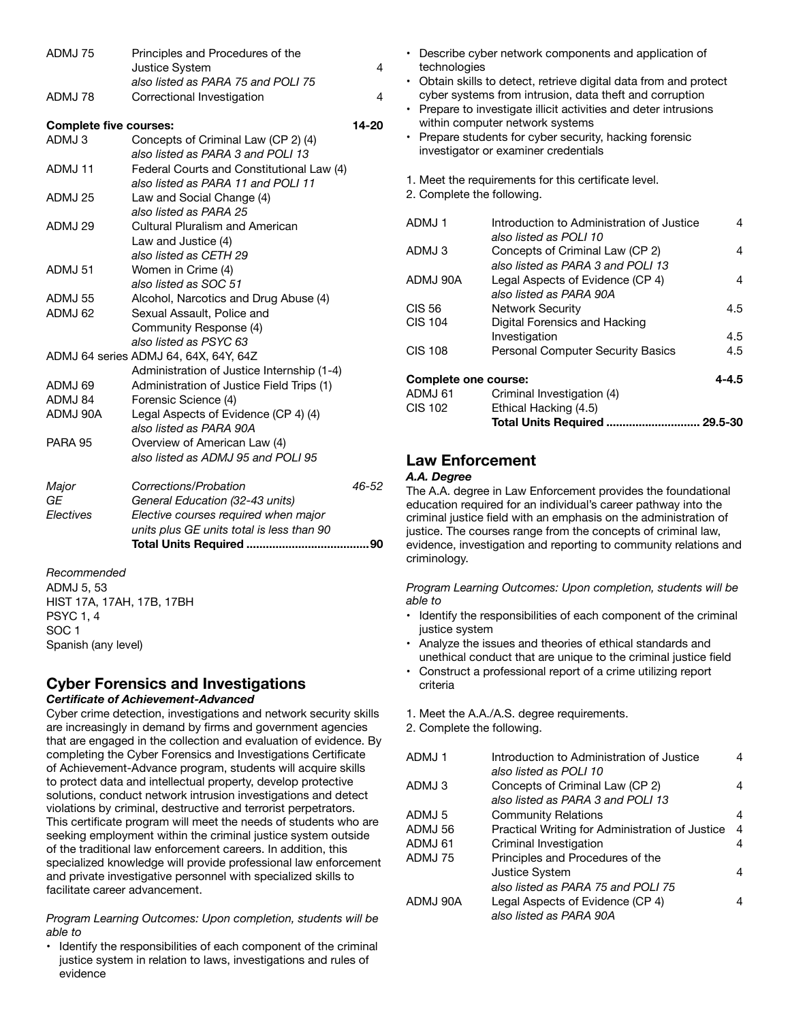| ADMJ75                        | Principles and Procedures of the                                                                                                              | $\overline{4}$ |
|-------------------------------|-----------------------------------------------------------------------------------------------------------------------------------------------|----------------|
|                               | Justice System<br>also listed as PARA 75 and POLI 75                                                                                          |                |
| ADMJ78                        | Correctional Investigation                                                                                                                    | $\overline{4}$ |
| <b>Complete five courses:</b> |                                                                                                                                               | 14-20          |
| ADMJ3                         | Concepts of Criminal Law (CP 2) (4)<br>also listed as PARA 3 and POLI 13                                                                      |                |
| ADMJ 11                       | Federal Courts and Constitutional Law (4)<br>also listed as PARA 11 and POLI 11                                                               |                |
| ADMJ 25                       | Law and Social Change (4)<br>also listed as PARA 25                                                                                           |                |
| ADMJ 29                       | Cultural Pluralism and American<br>Law and Justice (4)                                                                                        |                |
| ADMJ 51                       | also listed as CETH 29<br>Women in Crime (4)                                                                                                  |                |
| ADMJ 55                       | also listed as SOC 51<br>Alcohol, Narcotics and Drug Abuse (4)                                                                                |                |
| ADMJ 62                       | Sexual Assault, Police and<br>Community Response (4)                                                                                          |                |
|                               | also listed as PSYC 63<br>ADMJ 64 series ADMJ 64, 64X, 64Y, 64Z<br>Administration of Justice Internship (1-4)                                 |                |
| ADMJ 69                       | Administration of Justice Field Trips (1)                                                                                                     |                |
| ADMJ 84                       | Forensic Science (4)                                                                                                                          |                |
| ADMJ 90A                      | Legal Aspects of Evidence (CP 4) (4)<br>also listed as PARA 90A                                                                               |                |
| <b>PARA 95</b>                | Overview of American Law (4)<br>also listed as ADMJ 95 and POLI 95                                                                            |                |
| Major<br>GE<br>Electives      | Corrections/Probation<br>General Education (32-43 units)<br>Elective courses required when major<br>units plus GE units total is less than 90 | 46-52          |
|                               |                                                                                                                                               |                |
|                               |                                                                                                                                               |                |

*Recommended* ADMJ 5, 53 HIST 17A, 17AH, 17B, 17BH PSYC 1, 4 SOC 1 Spanish (any level)

## **Cyber Forensics and Investigations**

#### *Certificate of Achievement-Advanced*

Cyber crime detection, investigations and network security skills are increasingly in demand by firms and government agencies that are engaged in the collection and evaluation of evidence. By completing the Cyber Forensics and Investigations Certificate of Achievement-Advance program, students will acquire skills to protect data and intellectual property, develop protective solutions, conduct network intrusion investigations and detect violations by criminal, destructive and terrorist perpetrators. This certificate program will meet the needs of students who are seeking employment within the criminal justice system outside of the traditional law enforcement careers. In addition, this specialized knowledge will provide professional law enforcement and private investigative personnel with specialized skills to facilitate career advancement.

#### *Program Learning Outcomes: Upon completion, students will be able to*

• Identify the responsibilities of each component of the criminal justice system in relation to laws, investigations and rules of evidence

- Describe cyber network components and application of technologies
- Obtain skills to detect, retrieve digital data from and protect cyber systems from intrusion, data theft and corruption
- Prepare to investigate illicit activities and deter intrusions within computer network systems
- Prepare students for cyber security, hacking forensic investigator or examiner credentials
- 1. Meet the requirements for this certificate level.
- 2. Complete the following.

| ADMJ1                | Introduction to Administration of Justice<br>also listed as POI L10 | 4         |
|----------------------|---------------------------------------------------------------------|-----------|
| ADMJ3                | Concepts of Criminal Law (CP 2)                                     | 4         |
|                      | also listed as PARA 3 and POLI 13                                   |           |
| ADMJ 90A             | Legal Aspects of Evidence (CP 4)                                    | 4         |
|                      | also listed as PARA 90A                                             |           |
| <b>CIS 56</b>        | <b>Network Security</b>                                             | 4.5       |
| <b>CIS 104</b>       | Digital Forensics and Hacking                                       |           |
|                      | Investigation                                                       | 4.5       |
| <b>CIS 108</b>       | <b>Personal Computer Security Basics</b>                            | 4.5       |
| Complete one course: |                                                                     | $4 - 4.5$ |
| ADMJ 61              | Criminal Investigation (4)                                          |           |
| <b>CIS 102</b>       | Ethical Hacking (4.5)                                               |           |
|                      | <b>Total Units Required</b>                                         | 29.5-30   |

### **Law Enforcement**

#### *A.A. Degree*

The A.A. degree in Law Enforcement provides the foundational education required for an individual's career pathway into the criminal justice field with an emphasis on the administration of justice. The courses range from the concepts of criminal law, evidence, investigation and reporting to community relations and criminology.

*Program Learning Outcomes: Upon completion, students will be able to*

- Identify the responsibilities of each component of the criminal justice system
- Analyze the issues and theories of ethical standards and unethical conduct that are unique to the criminal justice field
- Construct a professional report of a crime utilizing report criteria

1. Meet the A.A./A.S. degree requirements.

2. Complete the following.

| ADMJ1    | Introduction to Administration of Justice<br>also listed as POLI 10  | 4 |
|----------|----------------------------------------------------------------------|---|
| ADMJ3    | Concepts of Criminal Law (CP 2)<br>also listed as PARA 3 and POLI 13 | 4 |
| ADMJ 5   | <b>Community Relations</b>                                           | 4 |
| ADMJ 56  | Practical Writing for Administration of Justice                      | 4 |
| ADMJ 61  | Criminal Investigation                                               | 4 |
| ADMJ 75  | Principles and Procedures of the                                     |   |
|          | Justice System                                                       | 4 |
|          | also listed as PARA 75 and POLI 75                                   |   |
| ADMJ 90A | Legal Aspects of Evidence (CP 4)<br>also listed as PARA 90A          | 4 |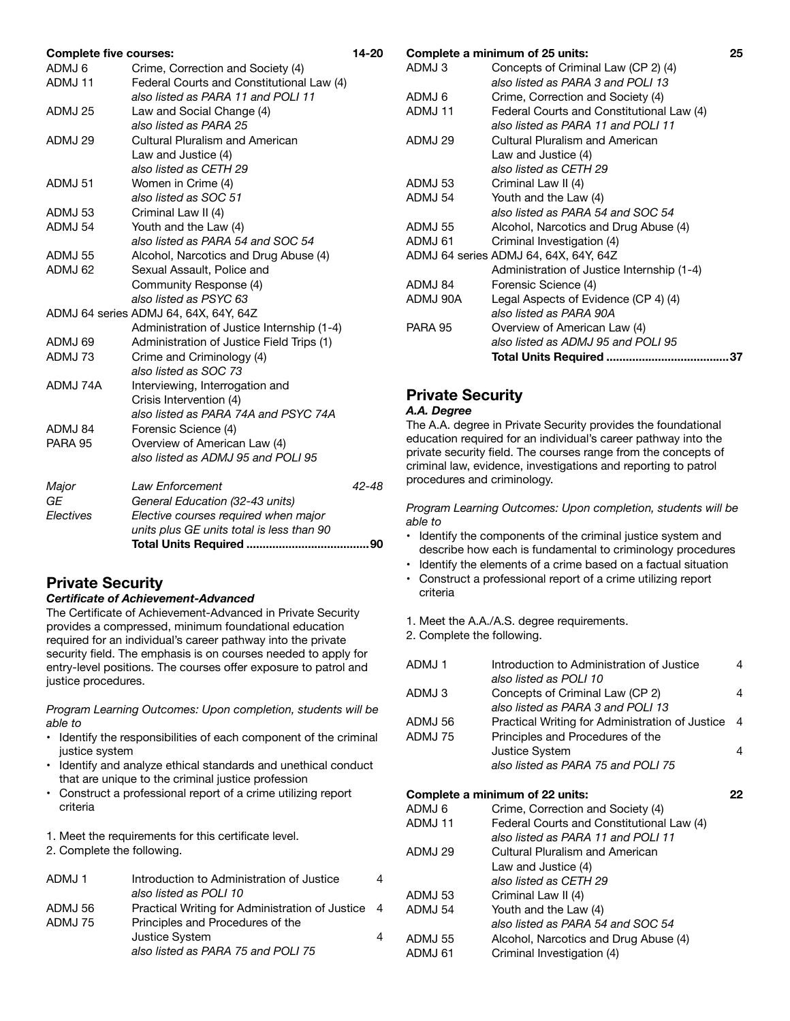| <b>Complete five courses:</b> |                                            | 14-20 |
|-------------------------------|--------------------------------------------|-------|
| ADMJ 6                        | Crime, Correction and Society (4)          |       |
| ADMJ 11                       | Federal Courts and Constitutional Law (4)  |       |
|                               | also listed as PARA 11 and POLI 11         |       |
| ADMJ 25                       | Law and Social Change (4)                  |       |
|                               | also listed as PARA 25                     |       |
| ADMJ 29                       | Cultural Pluralism and American            |       |
|                               | Law and Justice (4)                        |       |
|                               | also listed as CETH 29                     |       |
| ADMJ 51                       | Women in Crime (4)                         |       |
|                               | also listed as SOC 51                      |       |
| ADMJ 53                       | Criminal Law II (4)                        |       |
| ADMJ 54                       | Youth and the Law (4)                      |       |
|                               | also listed as PARA 54 and SOC 54          |       |
| ADMJ 55                       | Alcohol, Narcotics and Drug Abuse (4)      |       |
| ADMJ 62                       | Sexual Assault, Police and                 |       |
|                               | Community Response (4)                     |       |
|                               | also listed as PSYC 63                     |       |
|                               | ADMJ 64 series ADMJ 64, 64X, 64Y, 64Z      |       |
|                               | Administration of Justice Internship (1-4) |       |
| ADMJ 69                       | Administration of Justice Field Trips (1)  |       |
| ADMJ 73                       | Crime and Criminology (4)                  |       |
|                               | also listed as SOC 73                      |       |
| ADMJ 74A                      | Interviewing, Interrogation and            |       |
|                               | Crisis Intervention (4)                    |       |
|                               | also listed as PARA 74A and PSYC 74A       |       |
| ADMJ 84                       | Forensic Science (4)                       |       |
| PARA 95                       | Overview of American Law (4)               |       |
|                               | also listed as ADMJ 95 and POLI 95         |       |
| Major                         | Law Enforcement                            | 42-48 |
| GE                            | General Education (32-43 units)            |       |
| Electives                     | Elective courses required when major       |       |
|                               | units plus GE units total is less than 90  |       |
|                               |                                            |       |

## **Private Security**

#### *Certificate of Achievement-Advanced*

The Certificate of Achievement-Advanced in Private Security provides a compressed, minimum foundational education required for an individual's career pathway into the private security field. The emphasis is on courses needed to apply for entry-level positions. The courses offer exposure to patrol and justice procedures.

*Program Learning Outcomes: Upon completion, students will be able to*

- Identify the responsibilities of each component of the criminal justice system
- Identify and analyze ethical standards and unethical conduct that are unique to the criminal justice profession
- Construct a professional report of a crime utilizing report criteria
- 1. Meet the requirements for this certificate level.
- 2. Complete the following.

| ADMJ 1  | Introduction to Administration of Justice<br>also listed as POLI 10 | 4 |
|---------|---------------------------------------------------------------------|---|
| ADMJ 56 | Practical Writing for Administration of Justice 4                   |   |
| ADMJ 75 | Principles and Procedures of the                                    |   |
|         | <b>Justice System</b>                                               | 4 |
|         | also listed as PARA 75 and POLI 75                                  |   |

| Concepts of Criminal Law (CP 2) (4)<br>ADMJ 3<br>also listed as PARA 3 and POLI 13 |    |
|------------------------------------------------------------------------------------|----|
|                                                                                    |    |
|                                                                                    |    |
| ADMJ 6<br>Crime, Correction and Society (4)                                        |    |
| Federal Courts and Constitutional Law (4)<br>ADMJ 11                               |    |
| also listed as PARA 11 and POLI 11                                                 |    |
| ADMJ 29<br>Cultural Pluralism and American                                         |    |
| Law and Justice (4)                                                                |    |
| also listed as CETH 29                                                             |    |
| Criminal Law II (4)<br>ADMJ 53                                                     |    |
| ADMJ 54<br>Youth and the Law (4)                                                   |    |
| also listed as PARA 54 and SOC 54                                                  |    |
| Alcohol, Narcotics and Drug Abuse (4)<br>ADMJ 55                                   |    |
| ADMJ 61<br>Criminal Investigation (4)                                              |    |
| ADMJ 64 series ADMJ 64, 64X, 64Y, 64Z                                              |    |
| Administration of Justice Internship (1-4)                                         |    |
| ADMJ 84<br>Forensic Science (4)                                                    |    |
| ADMJ 90A<br>Legal Aspects of Evidence (CP 4) (4)                                   |    |
| also listed as PARA 90A                                                            |    |
| <b>PARA 95</b><br>Overview of American Law (4)                                     |    |
| also listed as ADMJ 95 and POLI 95                                                 |    |
|                                                                                    | 37 |

## **Private Security**

#### *A.A. Degree*

The A.A. degree in Private Security provides the foundational education required for an individual's career pathway into the private security field. The courses range from the concepts of criminal law, evidence, investigations and reporting to patrol procedures and criminology.

*Program Learning Outcomes: Upon completion, students will be able to*

- Identify the components of the criminal justice system and describe how each is fundamental to criminology procedures
- Identify the elements of a crime based on a factual situation
- Construct a professional report of a crime utilizing report criteria
- 1. Meet the A.A./A.S. degree requirements.
- 2. Complete the following.

| ADMJ 1             | Introduction to Administration of Justice<br>also listed as POLI 10                 |    |
|--------------------|-------------------------------------------------------------------------------------|----|
| ADMJ 3             | Concepts of Criminal Law (CP 2)<br>also listed as PARA 3 and POLI 13                | 4  |
| ADMJ 56<br>ADMJ 75 | Practical Writing for Administration of Justice<br>Principles and Procedures of the | -4 |
|                    | <b>Justice System</b><br>also listed as PARA 75 and POLI 75                         | 4  |
| ADMJ 6             | Complete a minimum of 22 units:<br>Crime, Correction and Society (4)                | 22 |

| ADMJ 11 | Federal Courts and Constitutional Law (4) |
|---------|-------------------------------------------|
|         | also listed as PARA 11 and POLI 11        |
| ADMJ 29 | <b>Cultural Pluralism and American</b>    |
|         | Law and Justice (4)                       |
|         | also listed as CETH 29                    |
| ADMJ 53 | Criminal Law II (4)                       |
| ADMJ 54 | Youth and the Law (4)                     |
|         | also listed as PARA 54 and SOC 54         |
| ADMJ 55 | Alcohol, Narcotics and Drug Abuse (4)     |
| ADMJ 61 | Criminal Investigation (4)                |